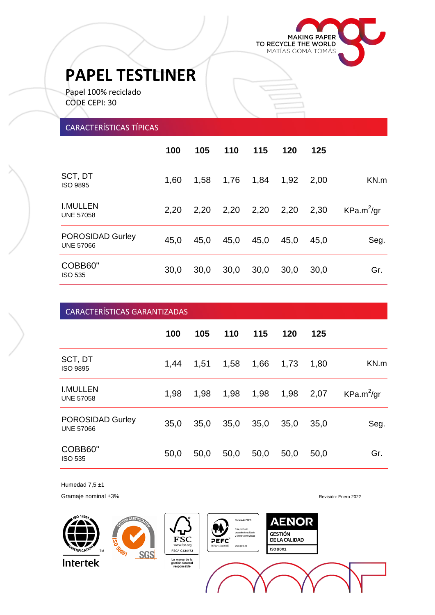

į

# **PAPEL TESTLINER**

Papel 100% reciclado CODE CEPI: 30

#### CARACTERÍSTICAS TÍPICAS

|                                             | 100  | 105  | 110  | 115  | 120  | 125  |               |
|---------------------------------------------|------|------|------|------|------|------|---------------|
| SCT, DT<br><b>ISO 9895</b>                  | 1,60 | 1,58 | 1,76 | 1,84 | 1,92 | 2,00 | KN.m          |
| <b>I.MULLEN</b><br><b>UNE 57058</b>         | 2,20 | 2,20 | 2,20 | 2,20 | 2,20 | 2,30 | $KPa.m^2$ /gr |
| <b>POROSIDAD Gurley</b><br><b>UNE 57066</b> | 45,0 | 45,0 | 45,0 | 45,0 | 45,0 | 45,0 | Seg.          |
| COBB60"<br><b>ISO 535</b>                   | 30,0 | 30,0 | 30,0 | 30,0 | 30,0 | 30,0 | Gr.           |

## **100 105 110 115 120 125** SCT, DT<br>ISO 9895 ا اس البريد 1,44 1,51 1,58 1,66 1,73 1,80 KN.m<br>ISO 9895 I.MULLEN<br>UNE 57058 UNE 57058 1,98 1,98 1,98 1,98 1,98 2,07 POROSIDAD Gurley UNE 57066 35,0 35,0 35,0 35,0 35,0 35,0 Seg. COBB60" ISO 535 50,0 50,0 50,0 50,0 50,0 50,0 Gr.  $KPa.m^2$ /gr CARACTERÍSTICAS GARANTIZADAS

Humedad  $7,5 \pm 1$ 

Gramaje nominal ±3% **Revisión:** Enero 2022